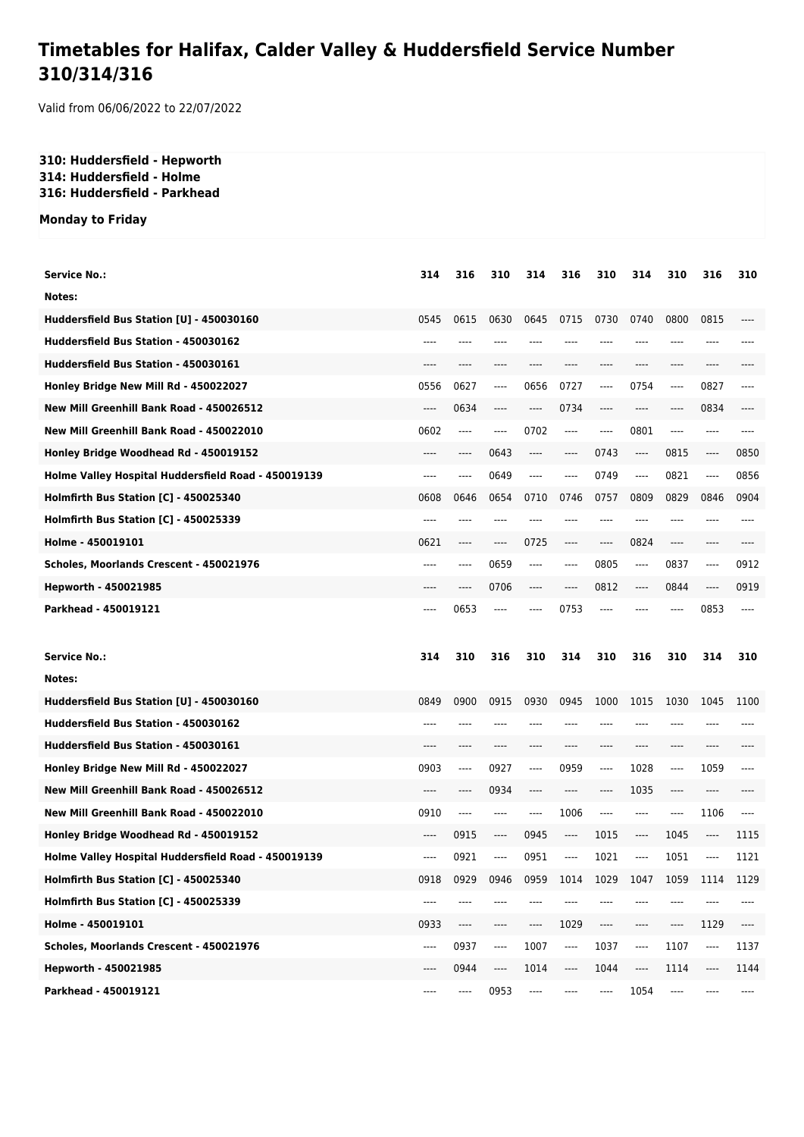# **Timetables for Halifax, Calder Valley & Huddersfield Service Number 310/314/316**

Valid from 06/06/2022 to 22/07/2022

### **310: Huddersfield - Hepworth 314: Huddersfield - Holme 316: Huddersfield - Parkhead**

#### **Monday to Friday**

| Service No.:                                                                                 | 314      | 316     | 310                           | 314  | 316   | 310                           | 314          | 310   | 316                           | 310                           |
|----------------------------------------------------------------------------------------------|----------|---------|-------------------------------|------|-------|-------------------------------|--------------|-------|-------------------------------|-------------------------------|
| Notes:                                                                                       |          |         |                               |      |       |                               |              |       |                               |                               |
| Huddersfield Bus Station [U] - 450030160                                                     | 0545     | 0615    | 0630                          | 0645 | 0715  | 0730                          | 0740         | 0800  | 0815                          |                               |
| Huddersfield Bus Station - 450030162                                                         | ----     | ----    |                               |      |       |                               | ----         | ----  | ----                          |                               |
| Huddersfield Bus Station - 450030161                                                         | ----     |         |                               |      |       |                               | ----         | ----  | ----                          |                               |
| Honley Bridge New Mill Rd - 450022027                                                        | 0556     | 0627    | $-----$                       | 0656 | 0727  | $\cdots$                      | 0754         | ----  | 0827                          | ----                          |
| New Mill Greenhill Bank Road - 450026512                                                     | $---$    | 0634    | $---$                         | ---- | 0734  | $---$                         | $---$        | ----  | 0834                          | ----                          |
| New Mill Greenhill Bank Road - 450022010                                                     | 0602     | ----    | $---$                         | 0702 | $---$ | $---$                         | 0801         | ----  | $---$                         | ----                          |
| Honley Bridge Woodhead Rd - 450019152                                                        | $---$    | ----    | 0643                          | ---- | ----  | 0743                          | ----         | 0815  | $\hspace{1.5cm} \textbf{---}$ | 0850                          |
| Holme Valley Hospital Huddersfield Road - 450019139                                          | $---$    | $---$   | 0649                          | ---- | $---$ | 0749                          | $---$        | 0821  | $\cdots$                      | 0856                          |
| Holmfirth Bus Station [C] - 450025340                                                        | 0608     | 0646    | 0654                          | 0710 | 0746  | 0757                          | 0809         | 0829  | 0846                          | 0904                          |
| <b>Holmfirth Bus Station [C] - 450025339</b>                                                 | ----     | ----    | ----                          | ---- | ----  | $---$                         | ----         | $---$ | ----                          | ----                          |
| Holme - 450019101                                                                            | 0621     | ----    | $---$                         | 0725 | ----  | $---$                         | 0824         | ----  | $---$                         | ----                          |
| Scholes, Moorlands Crescent - 450021976                                                      | $---$    | ----    | 0659                          | ---- | ----  | 0805                          | ----         | 0837  | $---$                         | 0912                          |
| Hepworth - 450021985                                                                         | ----     | ----    | 0706                          | ---- | ----  | 0812                          | $---$        | 0844  | $---$                         | 0919                          |
| Parkhead - 450019121                                                                         | $---$    | 0653    | $---$                         | ---- | 0753  | $---$                         | ----         | ----  | 0853                          | $---$                         |
|                                                                                              |          |         |                               |      |       |                               |              |       |                               |                               |
| <b>Service No.:</b>                                                                          | 314      | 310     | 316                           |      | 314   | 310                           |              | 310   | 314                           |                               |
| Notes:                                                                                       |          |         |                               | 310  |       |                               | 316          |       |                               | 310                           |
|                                                                                              | 0849     |         | 0915                          | 0930 | 0945  | 1000                          |              |       |                               | 1100                          |
| Huddersfield Bus Station [U] - 450030160<br>Huddersfield Bus Station - 450030162             | ----     | 0900    |                               | ---- |       |                               | 1015<br>---- | 1030  | 1045                          |                               |
| Huddersfield Bus Station - 450030161                                                         | ----     | ----    | ----                          | ---- | ----  | ----                          | ----         | ----  | ----                          |                               |
|                                                                                              | 0903     | ----    | 0927                          | ---- | 0959  | ----                          | 1028         | ----  | 1059                          | ----                          |
| Honley Bridge New Mill Rd - 450022027<br>New Mill Greenhill Bank Road - 450026512            | ----     | ----    | 0934                          | ---- | ----  | ----                          | 1035         | ----  | ----                          |                               |
| New Mill Greenhill Bank Road - 450022010                                                     | 0910     | $-----$ | $-----$                       | ---- | 1006  | $\hspace{1.5cm} \textbf{---}$ | ----         | ----  | 1106                          | $---$                         |
|                                                                                              | ----     | 0915    | $-----$                       | 0945 | ----  | 1015                          | $-----$      | 1045  | ----                          | 1115                          |
| Honley Bridge Woodhead Rd - 450019152                                                        | ----     | 0921    | $---$                         | 0951 | ----  | 1021                          | ----         | 1051  | $---$                         | 1121                          |
| Holme Valley Hospital Huddersfield Road - 450019139<br>Holmfirth Bus Station [C] - 450025340 | 0918     | 0929    | 0946                          | 0959 | 1014  |                               | 1047         | 1059  | 1114                          | 1129                          |
| Holmfirth Bus Station [C] - 450025339                                                        | ----     | ----    |                               |      |       | 1029                          |              |       |                               |                               |
| Holme - 450019101                                                                            | 0933     | ----    | $\hspace{1.5cm} \textbf{---}$ | ---- | 1029  | $\hspace{1.5cm} \textbf{---}$ | ----         | ----  | 1129                          | $\hspace{1.5cm} \textbf{---}$ |
| Scholes, Moorlands Crescent - 450021976                                                      | $\cdots$ | 0937    | $\hspace{1.5cm} \textbf{---}$ | 1007 | ----  | 1037                          | ----         | 1107  | $\hspace{1.5cm} \textbf{---}$ | 1137                          |
| Hepworth - 450021985                                                                         | ----     | 0944    | ----                          | 1014 | ----  | 1044                          | ----         | 1114  | $\hspace{1.5cm} \textbf{---}$ | 1144                          |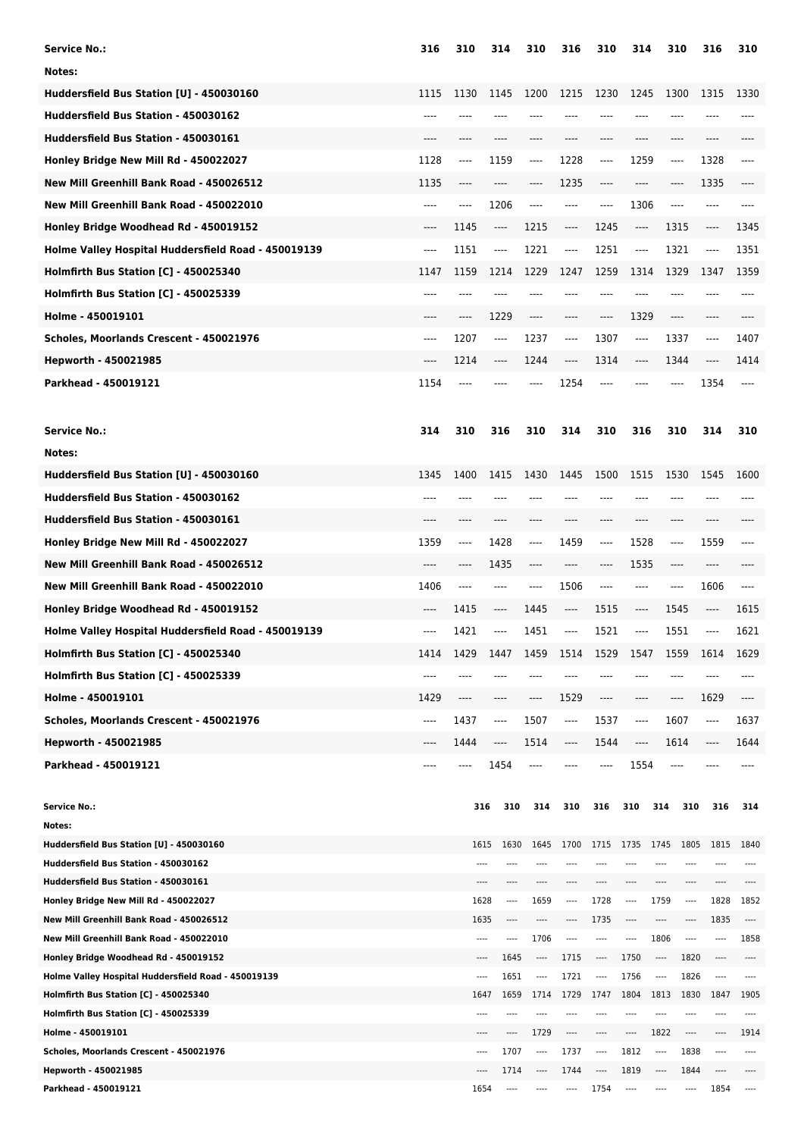| <b>Service No.:</b>                                             | 316   | 310   | 314                   | 310              | 316                           | 310                      | 314                           | 310                           |              | 316            | 310                      |
|-----------------------------------------------------------------|-------|-------|-----------------------|------------------|-------------------------------|--------------------------|-------------------------------|-------------------------------|--------------|----------------|--------------------------|
| Notes:                                                          |       |       |                       |                  |                               |                          |                               |                               |              |                |                          |
| Huddersfield Bus Station [U] - 450030160                        | 1115  | 1130  | 1145                  | 1200             | 1215                          | 1230                     | 1245                          | 1300                          |              | 1315           | 1330                     |
| Huddersfield Bus Station - 450030162                            | $---$ | ----  | ----                  | ----             |                               | ----                     | ----                          | $---$                         |              | ----           | ----                     |
| Huddersfield Bus Station - 450030161                            | $---$ | $---$ | ----                  | ----             | $---$                         | ----                     | ----                          | $---$                         |              | ----           |                          |
|                                                                 |       |       |                       |                  |                               |                          |                               |                               |              |                |                          |
| Honley Bridge New Mill Rd - 450022027                           | 1128  | ----  | 1159                  | ----             | 1228                          | ----                     | 1259                          | $\hspace{1.5cm} \textbf{---}$ |              | 1328           | ----                     |
| New Mill Greenhill Bank Road - 450026512                        | 1135  | ----  | ----                  | $---$            | 1235                          | ----                     | ----                          | $---$                         |              | 1335           | ----                     |
| New Mill Greenhill Bank Road - 450022010                        | ----  | ----  | 1206                  | ----             | ----                          | ----                     | 1306                          | $---$                         |              | ----           | ----                     |
| Honley Bridge Woodhead Rd - 450019152                           | $---$ | 1145  | ----                  | 1215             | ----                          | 1245                     | ----                          | 1315                          |              | ----           | 1345                     |
| Holme Valley Hospital Huddersfield Road - 450019139             | $---$ | 1151  | ----                  | 1221             | $\hspace{1.5cm} \textbf{---}$ | 1251                     | ----                          | 1321                          |              | ----           | 1351                     |
| Holmfirth Bus Station [C] - 450025340                           | 1147  | 1159  | 1214                  | 1229             | 1247                          | 1259                     | 1314                          | 1329                          |              | 1347           | 1359                     |
| Holmfirth Bus Station [C] - 450025339                           | $---$ | ----  | ----                  | ----             |                               | ----                     | ----                          | $---$                         |              | ----           | ----                     |
| Holme - 450019101                                               | $---$ | ----  | 1229                  | $---$            | ----                          | ----                     | 1329                          | $\hspace{1.5cm} \textbf{---}$ |              | ----           | ----                     |
| Scholes, Moorlands Crescent - 450021976                         | $---$ | 1207  | $---$                 | 1237             | $-----$                       | 1307                     | $---$                         | 1337                          |              | ----           | 1407                     |
| Hepworth - 450021985                                            | $---$ | 1214  | $---$                 | 1244             | ----                          | 1314                     | $---$                         | 1344                          |              | ----           | 1414                     |
| Parkhead - 450019121                                            | 1154  | ----  | ----                  | $---$            | 1254                          | ----                     | ----                          | $---$                         |              | 1354           | $---$                    |
|                                                                 |       |       |                       |                  |                               |                          |                               |                               |              |                |                          |
|                                                                 |       |       |                       |                  |                               |                          |                               |                               |              |                |                          |
| <b>Service No.:</b>                                             | 314   | 310   | 316                   | 310              | 314                           | 310                      | 316                           | 310                           |              | 314            | 310                      |
| Notes:                                                          |       |       |                       |                  |                               |                          |                               |                               |              |                |                          |
| Huddersfield Bus Station [U] - 450030160                        | 1345  | 1400  | 1415                  | 1430             | 1445                          | 1500                     | 1515                          | 1530                          |              | 1545           | 1600                     |
| Huddersfield Bus Station - 450030162                            | ----  |       |                       |                  |                               | ----                     | ----                          |                               |              | ----           |                          |
| Huddersfield Bus Station - 450030161                            | ----  | ----  | ----                  | ----             | ----                          | ----                     | $-----$                       | $---$                         |              | ----           |                          |
| Honley Bridge New Mill Rd - 450022027                           | 1359  | ----  | 1428                  | ----             | 1459                          | $---$                    | 1528                          | $-----$                       |              | 1559           | ----                     |
| New Mill Greenhill Bank Road - 450026512                        | ----  | ----  | 1435                  | ----             | ----                          | ----                     | 1535                          | $---$                         |              | ----           |                          |
| New Mill Greenhill Bank Road - 450022010                        | 1406  | ----  | ----                  | ----             | 1506                          | ----                     | $-----$                       | ----                          |              | 1606           | ----                     |
| Honley Bridge Woodhead Rd - 450019152                           | ----  | 1415  | $-----$               | 1445             | $---$                         | 1515                     | $\hspace{1.5cm} \textbf{---}$ | 1545                          |              | ----           | 1615                     |
| Holme Valley Hospital Huddersfield Road - 450019139             | ----  | 1421  | $-----$               | 1451             | ----                          | 1521                     | $---$                         | 1551                          |              | ----           | 1621                     |
| Holmfirth Bus Station [C] - 450025340                           | 1414  | 1429  | 1447                  | 1459             | 1514                          | 1529                     | 1547                          | 1559                          |              | 1614           | 1629                     |
| Holmfirth Bus Station [C] - 450025339                           | ----  |       |                       |                  |                               |                          |                               |                               |              |                |                          |
| Holme - 450019101                                               | 1429  | ----  | ----                  | ----             | 1529                          | ----                     |                               | $\hspace{1.5cm} \textbf{---}$ |              | 1629           | ----                     |
|                                                                 |       |       |                       |                  |                               |                          | ----                          |                               |              |                |                          |
| Scholes, Moorlands Crescent - 450021976                         | ----  | 1437  | $-----$               | 1507             | ----                          | 1537                     | ----                          | 1607                          |              | ----           | 1637                     |
| Hepworth - 450021985                                            | ----  | 1444  | ----                  | 1514             | ----                          | 1544                     | ----                          | 1614                          |              | ----           | 1644                     |
| Parkhead - 450019121                                            |       |       | 1454                  |                  |                               | ----                     | 1554                          |                               |              |                |                          |
|                                                                 |       |       |                       |                  |                               |                          |                               |                               |              |                |                          |
| <b>Service No.:</b>                                             |       |       | 316<br>310            | 314              | 310                           | 316                      | 310                           | 314                           | 310          | 316            | 314                      |
| Notes:<br>Huddersfield Bus Station [U] - 450030160              |       |       | 1615<br>1630          | 1645             | 1700                          | 1715 1735                |                               | 1745                          | 1805         | 1815           | 1840                     |
| Huddersfield Bus Station - 450030162                            |       |       |                       |                  |                               |                          |                               |                               |              |                |                          |
| Huddersfield Bus Station - 450030161                            |       |       |                       |                  |                               |                          |                               |                               |              |                |                          |
| Honley Bridge New Mill Rd - 450022027                           |       |       | 1628<br>----          | 1659             | $---$                         | 1728                     | ----                          | 1759                          | ----         | 1828           | 1852                     |
| New Mill Greenhill Bank Road - 450026512                        |       |       | 1635<br>----          | ----             | ----                          | 1735                     | ----                          | ----                          | $---$        | 1835           | $\overline{\phantom{a}}$ |
| New Mill Greenhill Bank Road - 450022010                        |       |       | ----<br>$^{***}$      | 1706             | ----                          | ----                     | ----                          | 1806                          | ----         | ----           | 1858                     |
| Honley Bridge Woodhead Rd - 450019152                           |       |       | 1645<br>$---$         | ----             | 1715                          | ----                     | 1750                          | ----                          | 1820         | ----           | ----                     |
| Holme Valley Hospital Huddersfield Road - 450019139             |       |       | 1651<br>$---$         | ----             | 1721                          | $\overline{\phantom{a}}$ | 1756                          | ----                          | 1826         | $---$          | $---$                    |
| <b>Holmfirth Bus Station [C] - 450025340</b>                    |       |       | 1659<br>1647          | 1714             | 1729                          | 1747                     | 1804                          | 1813                          | 1830         | 1847           | 1905                     |
| <b>Holmfirth Bus Station [C] - 450025339</b>                    |       |       | ----                  |                  |                               | ----                     |                               |                               |              | ----           |                          |
| Holme - 450019101                                               |       |       | ----<br>----          | 1729             | ----                          | ----                     | ----                          | 1822                          | ----         | ----           | 1914                     |
| Scholes, Moorlands Crescent - 450021976<br>Hepworth - 450021985 |       |       | 1707<br>$---$<br>1714 | $\cdots$<br>---- | 1737<br>1744                  | ----<br>----             | 1812<br>1819                  | ----<br>----                  | 1838<br>1844 | $---$<br>$---$ | $---$<br>----            |
| Parkhead - 450019121                                            |       |       | 1654<br>----          |                  | ----                          | 1754                     | ----                          | ----                          | $-----$      | 1854           | $\overline{\phantom{a}}$ |
|                                                                 |       |       |                       |                  |                               |                          |                               |                               |              |                |                          |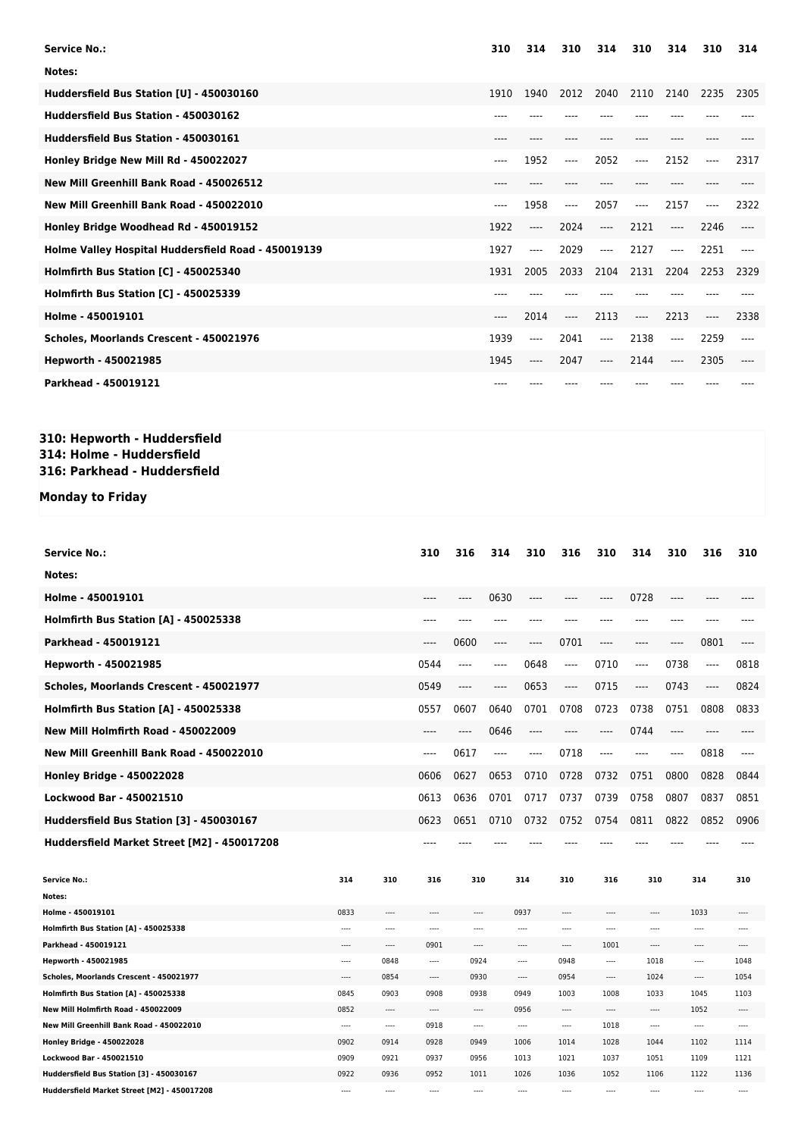| <b>Service No.:</b>                                 | 310  | 314  | 310  | 314     | 310   | 314   | 310  | 314  |
|-----------------------------------------------------|------|------|------|---------|-------|-------|------|------|
| Notes:                                              |      |      |      |         |       |       |      |      |
| Huddersfield Bus Station [U] - 450030160            | 1910 | 1940 | 2012 | 2040    | 2110  | 2140  | 2235 | 2305 |
| Huddersfield Bus Station - 450030162                |      |      |      |         |       |       |      |      |
| Huddersfield Bus Station - 450030161                |      |      |      |         |       |       |      |      |
| Honley Bridge New Mill Rd - 450022027               | ---- | 1952 | ---- | 2052    | ----  | 2152  | ---- | 2317 |
| New Mill Greenhill Bank Road - 450026512            |      |      |      |         |       |       |      |      |
| New Mill Greenhill Bank Road - 450022010            | ---- | 1958 | ---- | 2057    | $---$ | 2157  | ---- | 2322 |
| Honley Bridge Woodhead Rd - 450019152               | 1922 | ---- | 2024 | $---$   | 2121  | $---$ | 2246 |      |
| Holme Valley Hospital Huddersfield Road - 450019139 | 1927 | ---- | 2029 | $---$   | 2127  | ----  | 2251 |      |
| Holmfirth Bus Station [C] - 450025340               | 1931 | 2005 | 2033 | 2104    | 2131  | 2204  | 2253 | 2329 |
| Holmfirth Bus Station [C] - 450025339               |      |      |      |         |       |       |      |      |
| Holme - 450019101                                   | ---- | 2014 | ---- | 2113    | $---$ | 2213  | ---- | 2338 |
| Scholes, Moorlands Crescent - 450021976             | 1939 | ---- | 2041 | ----    | 2138  | $---$ | 2259 |      |
| Hepworth - 450021985                                | 1945 | ---- | 2047 | $-----$ | 2144  | ----  | 2305 |      |
| Parkhead - 450019121                                |      |      |      |         |       |       |      |      |

#### **310: Hepworth - Huddersfield 314: Holme - Huddersfield 316: Parkhead - Huddersfield**

## **Monday to Friday**

| Service No.:                                |          |          | 310      | 316      | 314  | 310      | 316          | 310      | 314      | 310              | 316      | 310      |
|---------------------------------------------|----------|----------|----------|----------|------|----------|--------------|----------|----------|------------------|----------|----------|
| Notes:                                      |          |          |          |          |      |          |              |          |          |                  |          |          |
| Holme - 450019101                           |          |          | ----     | $---$    | 0630 | ----     |              | ----     | 0728     | ----             | ----     |          |
| Holmfirth Bus Station [A] - 450025338       |          |          | ----     |          |      | ----     |              |          | ----     | ----             | ----     |          |
| Parkhead - 450019121                        |          |          | ----     | 0600     | ---- | ----     | 0701         | ----     | ----     | ----             | 0801     | ----     |
| Hepworth - 450021985                        |          |          | 0544     | $---$    | ---- | 0648     | $---$        | 0710     | ----     | 0738             | ----     | 0818     |
| Scholes, Moorlands Crescent - 450021977     |          |          | 0549     | ----     | ---- | 0653     | $---$        | 0715     | $---$    | 0743             | ----     | 0824     |
| Holmfirth Bus Station [A] - 450025338       |          |          | 0557     | 0607     | 0640 | 0701     | 0708         | 0723     | 0738     | 0751             | 0808     | 0833     |
| New Mill Holmfirth Road - 450022009         |          |          | $---$    | ----     | 0646 | ----     | $---$        | ----     | 0744     | $---$            | ----     | ----     |
| New Mill Greenhill Bank Road - 450022010    |          |          | $---$    | 0617     | ---- | ----     | 0718         | $---$    | $---$    | $---$            | 0818     | ----     |
| <b>Honley Bridge - 450022028</b>            |          |          | 0606     | 0627     | 0653 | 0710     | 0728         | 0732     | 0751     | 0800             | 0828     | 0844     |
| Lockwood Bar - 450021510                    |          |          | 0613     | 0636     | 0701 | 0717     | 0737         | 0739     | 0758     | 0807             | 0837     | 0851     |
| Huddersfield Bus Station [3] - 450030167    |          |          | 0623     | 0651     | 0710 | 0732     | 0752         | 0754     | 0811     | 0822             | 0852     | 0906     |
| Huddersfield Market Street [M2] - 450017208 |          |          | ----     |          |      |          |              |          |          |                  |          |          |
|                                             |          |          |          |          |      |          |              |          |          |                  |          |          |
| <b>Service No.:</b>                         | 314      | 310      | 316      | 310      |      | 314      | 310          | 316      | 310      |                  | 314      | 310      |
| Notes:                                      |          |          |          |          |      |          |              |          |          |                  |          |          |
| Holme - 450019101                           | 0833     |          |          |          |      | 0937     | ----         |          |          |                  | 1033     |          |
| Holmfirth Bus Station [A] - 450025338       | $\cdots$ | $\cdots$ | $\cdots$ | $\cdots$ |      | ----     | $\cdots$     | $\cdots$ |          | ----<br>$\cdots$ |          | ----     |
| Parkhead - 450019121                        | ----     | $\cdots$ | 0901     | ----     |      | ----     | ----         | 1001     |          | ----<br>$---$    |          | ----     |
| Hepworth - 450021985                        | $\cdots$ | 0848     |          | 0924     |      | 0948<br> |              |          |          | 1018<br>$\cdots$ |          | 1048     |
| Scholes, Moorlands Crescent - 450021977     | $\cdots$ | 0854     | ----     | 0930     |      | $---$    | 0954<br>---- |          |          | 1024<br>----     |          | 1054     |
| Holmfirth Bus Station [A] - 450025338       | 0845     | 0903     | 0908     | 0938     |      | 0949     | 1003         | 1008     | 1033     |                  | 1045     | 1103     |
| New Mill Holmfirth Road - 450022009         | 0852     | $---$    |          | $\cdots$ |      | 0956     | $\cdots$     | $\cdots$ | ----     |                  | 1052     | $---$    |
| New Mill Greenhill Bank Road - 450022010    | $\cdots$ | $\cdots$ | 0918     | $\cdots$ |      |          | ----         | 1018     |          |                  |          | $\cdots$ |
| <b>Honley Bridge - 450022028</b>            | 0902     | 0914     | 0928     | 0949     |      | 1006     | 1014         | 1028     | 1044     |                  | 1102     | 1114     |
| Lockwood Bar - 450021510                    | 0909     | 0921     | 0937     | 0956     |      | 1013     | 1021         | 1037     | 1051     |                  | 1109     | 1121     |
| Huddersfield Bus Station [3] - 450030167    | 0922     | 0936     | 0952     | 1011     |      | 1026     | 1036         | 1052     | 1106     |                  | 1122     | 1136     |
| Huddersfield Market Street [M2] - 450017208 | $\cdots$ | $\cdots$ | $\cdots$ | $\cdots$ |      | ----     | $\cdots$     | $\cdots$ | $\cdots$ |                  | $\cdots$ |          |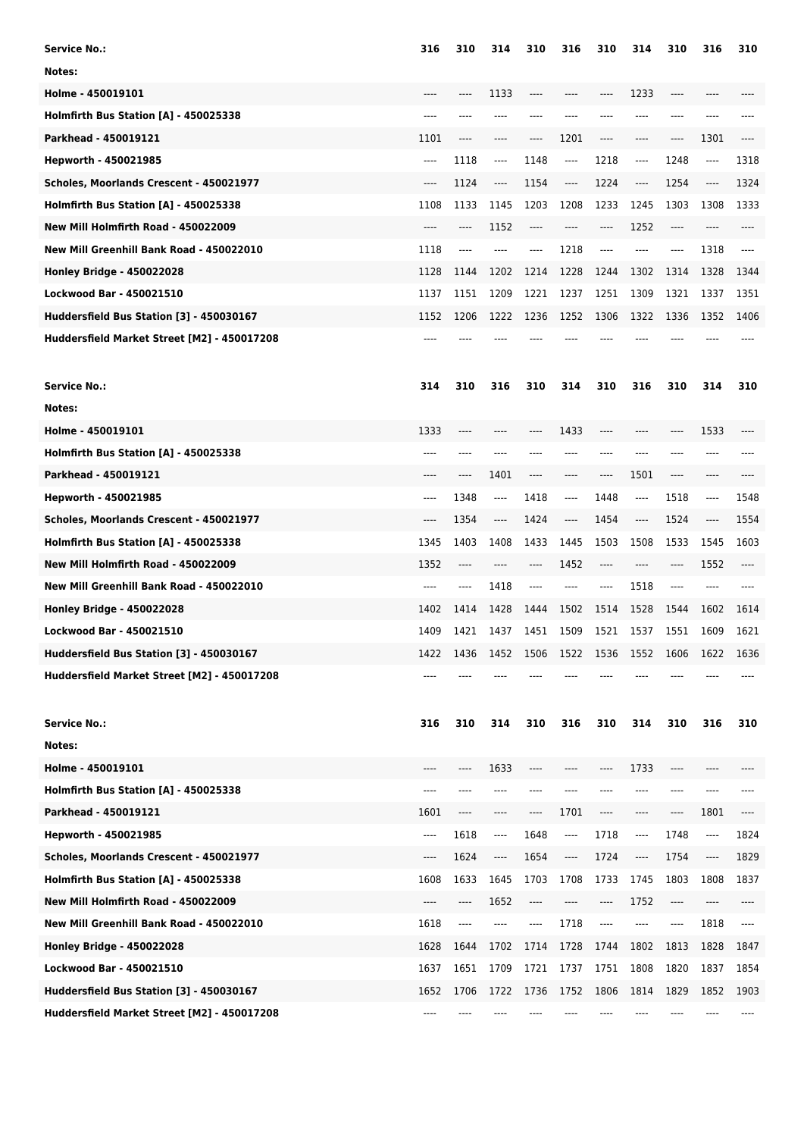| 316      | 310                                                 | 314                                                         | 310                                         | 316                                                         | 310                                         | 314                                                         | 310                                         | 316                                                            | 310                                                         |
|----------|-----------------------------------------------------|-------------------------------------------------------------|---------------------------------------------|-------------------------------------------------------------|---------------------------------------------|-------------------------------------------------------------|---------------------------------------------|----------------------------------------------------------------|-------------------------------------------------------------|
|          |                                                     |                                                             |                                             |                                                             |                                             |                                                             |                                             |                                                                |                                                             |
|          |                                                     | 1133                                                        | ----                                        |                                                             | ----                                        | 1233                                                        | ----                                        |                                                                |                                                             |
|          | ----                                                | ----                                                        |                                             |                                                             |                                             |                                                             | ----                                        |                                                                |                                                             |
| 1101     | $---$                                               | ----                                                        | ----                                        | 1201                                                        | ----                                        | ----                                                        | $-----$                                     | 1301                                                           | ----                                                        |
| $-----$  | 1118                                                | ----                                                        | 1148                                        | $\hspace{1.5cm} \textbf{---}$                               | 1218                                        | ----                                                        | 1248                                        | $\hspace{1.5cm} \textbf{---}$                                  | 1318                                                        |
| ----     | 1124                                                | ----                                                        | 1154                                        | $-----$                                                     | 1224                                        | ----                                                        | 1254                                        | ----                                                           | 1324                                                        |
| 1108     | 1133                                                | 1145                                                        | 1203                                        | 1208                                                        | 1233                                        | 1245                                                        | 1303                                        | 1308                                                           | 1333                                                        |
| ----     | $\cdots$                                            | 1152                                                        | ----                                        | ----                                                        | $-----$                                     | 1252                                                        | $\hspace{1.5cm} \textbf{---}$               | ----                                                           |                                                             |
| 1118     | ----                                                | ----                                                        | ----                                        | 1218                                                        | ----                                        | ----                                                        | $---$                                       | 1318                                                           | ----                                                        |
| 1128     | 1144                                                | 1202                                                        | 1214                                        | 1228                                                        | 1244                                        | 1302                                                        | 1314                                        | 1328                                                           | 1344                                                        |
| 1137     | 1151                                                | 1209                                                        | 1221                                        | 1237                                                        | 1251                                        | 1309                                                        | 1321                                        | 1337                                                           | 1351                                                        |
| 1152     | 1206                                                | 1222                                                        | 1236                                        | 1252                                                        | 1306                                        | 1322                                                        | 1336                                        | 1352                                                           | 1406                                                        |
|          |                                                     |                                                             |                                             |                                                             |                                             |                                                             |                                             |                                                                |                                                             |
| 314      | 310                                                 | 316                                                         | 310                                         | 314                                                         | 310                                         | 316                                                         | 310                                         | 314                                                            | 310                                                         |
|          |                                                     |                                                             |                                             |                                                             |                                             |                                                             |                                             |                                                                |                                                             |
| 1333     | $---$                                               | ----                                                        |                                             | 1433                                                        | ----                                        | ----                                                        | ----                                        | 1533                                                           | ----                                                        |
| $-- - -$ | ----                                                | ----                                                        | ----                                        |                                                             | ----                                        | ----                                                        | ----                                        | ----                                                           |                                                             |
| $---$    | ----                                                | 1401                                                        | ----                                        | $---$                                                       | ----                                        | 1501                                                        | $-----$                                     | $---$                                                          |                                                             |
| $---$    | 1348                                                | ----                                                        | 1418                                        | $---$                                                       | 1448                                        | $-----$                                                     | 1518                                        | ----                                                           | 1548                                                        |
| $---$    | 1354                                                | ----                                                        | 1424                                        | $\cdots$                                                    | 1454                                        | ----                                                        | 1524                                        | $\cdots$                                                       | 1554                                                        |
| 1345     | 1403                                                | 1408                                                        | 1433                                        | 1445                                                        | 1503                                        | 1508                                                        | 1533                                        | 1545                                                           | 1603                                                        |
| 1352     | ----                                                | ----                                                        | ----                                        | 1452                                                        | $---$                                       | ----                                                        | $---$                                       | 1552                                                           | ----                                                        |
| $---$    | $---$                                               | 1418                                                        | ----                                        | $---$                                                       | ----                                        | 1518                                                        | $---$                                       | $---$                                                          | ----                                                        |
| 1402     | 1414                                                | 1428                                                        | 1444                                        | 1502                                                        | 1514                                        | 1528                                                        | 1544                                        | 1602                                                           | 1614                                                        |
| 1409     | 1421                                                | 1437                                                        | 1451                                        | 1509                                                        | 1521                                        | 1537                                                        | 1551                                        | 1609                                                           | 1621                                                        |
| 1422     | 1436                                                | 1452                                                        | 1506                                        | 1522                                                        | 1536                                        | 1552                                                        | 1606                                        | 1622                                                           | 1636                                                        |
| $---$    |                                                     |                                                             |                                             |                                                             |                                             |                                                             |                                             |                                                                |                                                             |
|          |                                                     |                                                             |                                             |                                                             |                                             |                                                             |                                             |                                                                | 310                                                         |
|          |                                                     |                                                             |                                             |                                                             |                                             |                                                             |                                             |                                                                |                                                             |
|          |                                                     |                                                             |                                             | ----                                                        |                                             |                                                             |                                             |                                                                |                                                             |
| ----     |                                                     | ----                                                        |                                             |                                                             |                                             |                                                             |                                             |                                                                |                                                             |
|          | ----                                                | ----                                                        | ----                                        |                                                             | ----                                        | ----                                                        | $-----$                                     |                                                                | ----                                                        |
| $\cdots$ |                                                     | ----                                                        |                                             | ----                                                        |                                             | ----                                                        |                                             | ----                                                           | 1824                                                        |
| ----     |                                                     | ----                                                        |                                             | ----                                                        |                                             | ----                                                        |                                             | ----                                                           | 1829                                                        |
|          |                                                     |                                                             |                                             |                                                             |                                             |                                                             |                                             |                                                                | 1837                                                        |
| ----     | ----                                                | 1652                                                        | ----                                        |                                                             | ----                                        | 1752                                                        | $-----$                                     |                                                                |                                                             |
| 1618     | ----                                                | ----                                                        | ----                                        | 1718                                                        | ----                                        | ----                                                        | $---$                                       |                                                                | ----                                                        |
|          |                                                     |                                                             |                                             |                                                             |                                             |                                                             |                                             |                                                                | 1847                                                        |
|          |                                                     |                                                             |                                             |                                                             |                                             |                                                             |                                             |                                                                | 1854                                                        |
|          |                                                     |                                                             |                                             |                                                             |                                             |                                                             |                                             |                                                                | 1903                                                        |
| ----     |                                                     |                                                             |                                             |                                                             |                                             |                                                             |                                             |                                                                |                                                             |
|          | 316<br>----<br>1601<br>1608<br>1628<br>1637<br>1652 | 310<br>----<br>1618<br>1624<br>1633<br>1644<br>1651<br>1706 | 314<br>1633<br>1645<br>1702<br>1709<br>1722 | 310<br>----<br>1648<br>1654<br>1703<br>1714<br>1721<br>1736 | 316<br>1701<br>1708<br>1728<br>1737<br>1752 | 310<br>----<br>1718<br>1724<br>1733<br>1744<br>1751<br>1806 | 314<br>1733<br>1745<br>1802<br>1808<br>1814 | 310<br>$-----$<br>1748<br>1754<br>1803<br>1813<br>1820<br>1829 | 316<br>----<br>1801<br>1808<br>1818<br>1828<br>1837<br>1852 |